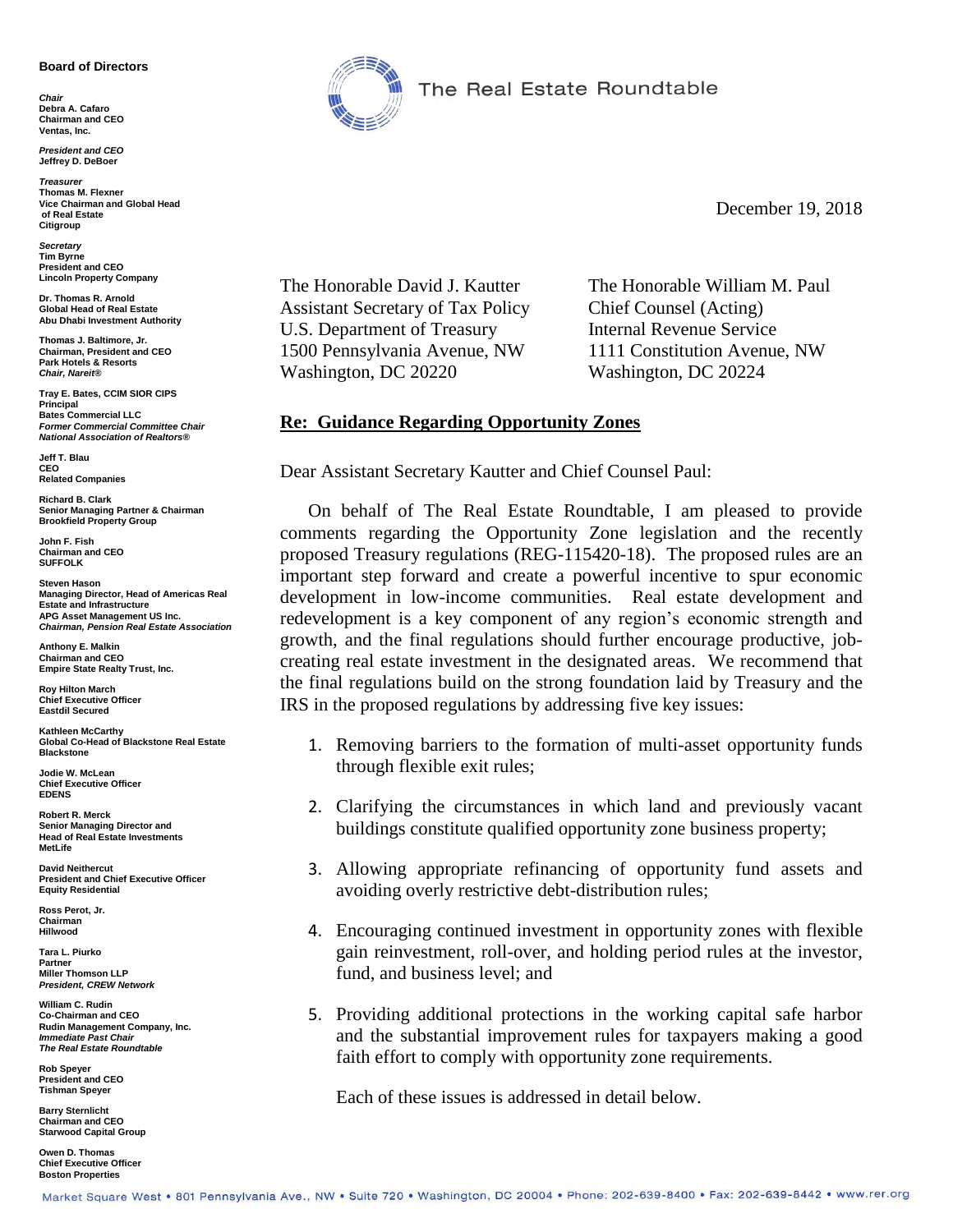#### **Board of Directors**

*Chair* **Debra A. Cafaro Chairman and CEO Ventas, Inc.**

*President and CEO* **Jeffrey D. DeBoer**

*Treasurer* **Thomas M. Flexner Vice Chairman and Global Head of Real Estate Citigroup**

*Secretary* **Tim Byrne President and CEO Lincoln Property Company**

**Dr. Thomas R. Arnold Global Head of Real Estate Abu Dhabi Investment Authority**

**Thomas J. Baltimore, Jr. Chairman, President and CEO Park Hotels & Resorts** *Chair, Nareit®*

**Tray E. Bates, CCIM SIOR CIPS Principal Bates Commercial LLC** *Former Commercial Committee Chair National Association of Realtors®*

**Jeff T. Blau CEO Related Companies**

**Richard B. Clark Senior Managing Partner & Chairman Brookfield Property Group**

**John F. Fish Chairman and CEO SUFFOLK**

**Steven Hason Managing Director, Head of Americas Real Estate and Infrastructure APG Asset Management US Inc.** *Chairman, Pension Real Estate Association*

**Anthony E. Malkin Chairman and CEO Empire State Realty Trust, Inc.**

**Roy Hilton March Chief Executive Officer Eastdil Secured**

**Kathleen McCarthy Global Co-Head of Blackstone Real Estate Blackstone**

**Jodie W. McLean Chief Executive Officer EDENS**

**Robert R. Merck Senior Managing Director and Head of Real Estate Investments MetLife**

**David Neithercut President and Chief Executive Officer Equity Residential**

**Ross Perot, Jr. Chairman Hillwood**

**Tara L. Piurko Partner Miller Thomson LLP** *President, CREW Network*

**William C. Rudin Co-Chairman and CEO Rudin Management Company, Inc.** *Immediate Past Chair The Real Estate Roundtable*

**Rob Speyer President and CEO Tishman Speyer**

**Barry Sternlicht Chairman and CEO Starwood Capital Group**

**Owen D. Thomas Chief Executive Officer Boston Properties**



The Real Estate Roundtable

December 19, 2018

The Honorable David J. Kautter The Honorable William M. Paul Assistant Secretary of Tax Policy Chief Counsel (Acting) U.S. Department of Treasury Internal Revenue Service 1500 Pennsylvania Avenue, NW 1111 Constitution Avenue, NW Washington, DC 20220 Washington, DC 20224

## **Re: Guidance Regarding Opportunity Zones**

Dear Assistant Secretary Kautter and Chief Counsel Paul:

On behalf of The Real Estate Roundtable, I am pleased to provide comments regarding the Opportunity Zone legislation and the recently proposed Treasury regulations (REG-115420-18). The proposed rules are an important step forward and create a powerful incentive to spur economic development in low-income communities. Real estate development and redevelopment is a key component of any region's economic strength and growth, and the final regulations should further encourage productive, jobcreating real estate investment in the designated areas. We recommend that the final regulations build on the strong foundation laid by Treasury and the IRS in the proposed regulations by addressing five key issues:

- 1. Removing barriers to the formation of multi-asset opportunity funds through flexible exit rules;
- 2. Clarifying the circumstances in which land and previously vacant buildings constitute qualified opportunity zone business property;
- 3. Allowing appropriate refinancing of opportunity fund assets and avoiding overly restrictive debt-distribution rules;
- 4. Encouraging continued investment in opportunity zones with flexible gain reinvestment, roll-over, and holding period rules at the investor, fund, and business level; and
- 5. Providing additional protections in the working capital safe harbor and the substantial improvement rules for taxpayers making a good faith effort to comply with opportunity zone requirements.

Each of these issues is addressed in detail below.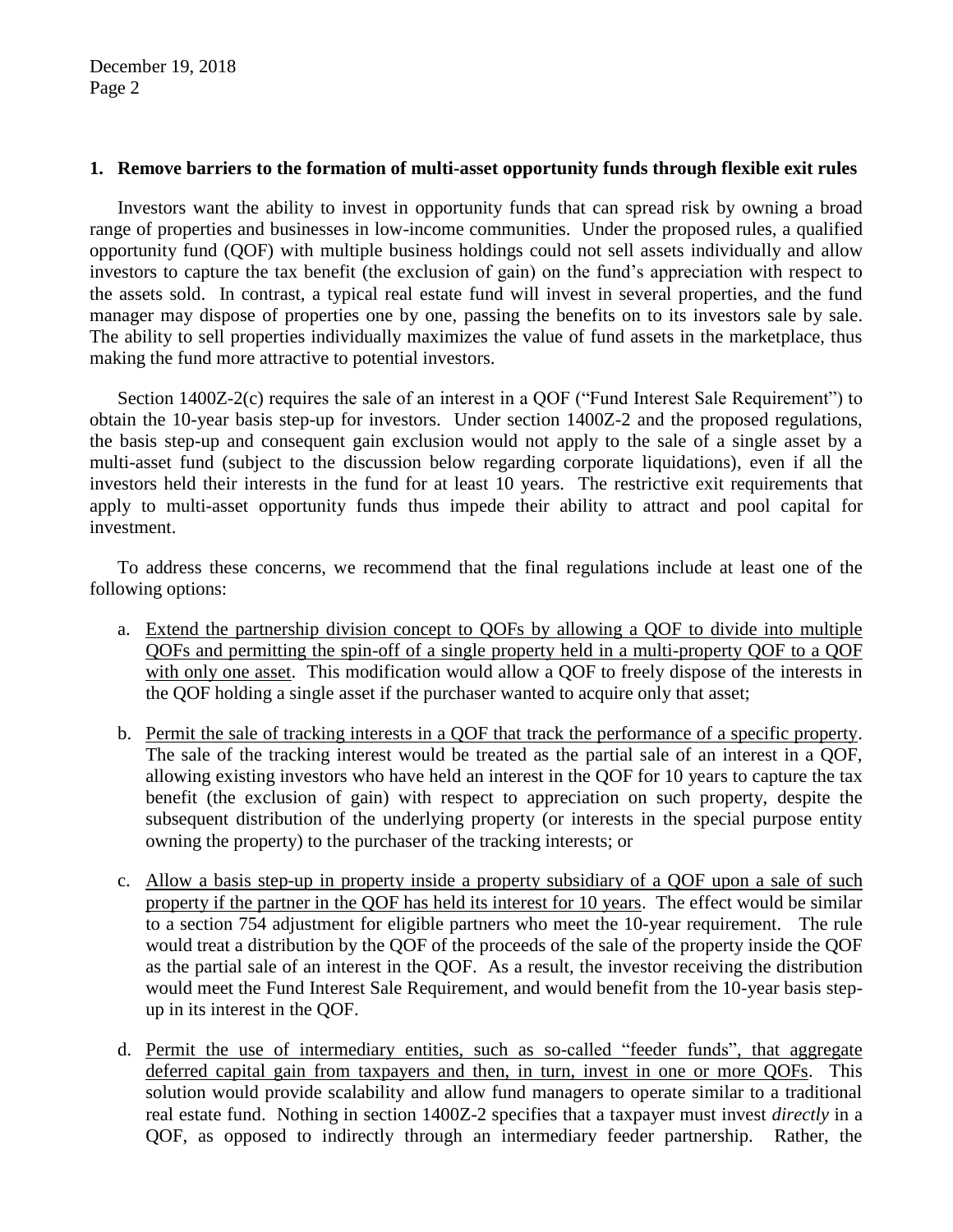December 19, 2018 Page 2

### **1. Remove barriers to the formation of multi-asset opportunity funds through flexible exit rules**

Investors want the ability to invest in opportunity funds that can spread risk by owning a broad range of properties and businesses in low-income communities. Under the proposed rules, a qualified opportunity fund (QOF) with multiple business holdings could not sell assets individually and allow investors to capture the tax benefit (the exclusion of gain) on the fund's appreciation with respect to the assets sold. In contrast, a typical real estate fund will invest in several properties, and the fund manager may dispose of properties one by one, passing the benefits on to its investors sale by sale. The ability to sell properties individually maximizes the value of fund assets in the marketplace, thus making the fund more attractive to potential investors.

Section 1400Z-2(c) requires the sale of an interest in a QOF ("Fund Interest Sale Requirement") to obtain the 10-year basis step-up for investors. Under section 1400Z-2 and the proposed regulations, the basis step-up and consequent gain exclusion would not apply to the sale of a single asset by a multi-asset fund (subject to the discussion below regarding corporate liquidations), even if all the investors held their interests in the fund for at least 10 years. The restrictive exit requirements that apply to multi-asset opportunity funds thus impede their ability to attract and pool capital for investment.

To address these concerns, we recommend that the final regulations include at least one of the following options:

- a. Extend the partnership division concept to QOFs by allowing a QOF to divide into multiple QOFs and permitting the spin-off of a single property held in a multi-property QOF to a QOF with only one asset. This modification would allow a QOF to freely dispose of the interests in the QOF holding a single asset if the purchaser wanted to acquire only that asset;
- b. Permit the sale of tracking interests in a QOF that track the performance of a specific property. The sale of the tracking interest would be treated as the partial sale of an interest in a QOF, allowing existing investors who have held an interest in the QOF for 10 years to capture the tax benefit (the exclusion of gain) with respect to appreciation on such property, despite the subsequent distribution of the underlying property (or interests in the special purpose entity owning the property) to the purchaser of the tracking interests; or
- c. Allow a basis step-up in property inside a property subsidiary of a QOF upon a sale of such property if the partner in the QOF has held its interest for 10 years. The effect would be similar to a section 754 adjustment for eligible partners who meet the 10-year requirement. The rule would treat a distribution by the QOF of the proceeds of the sale of the property inside the QOF as the partial sale of an interest in the QOF. As a result, the investor receiving the distribution would meet the Fund Interest Sale Requirement, and would benefit from the 10-year basis stepup in its interest in the QOF.
- d. Permit the use of intermediary entities, such as so-called "feeder funds", that aggregate deferred capital gain from taxpayers and then, in turn, invest in one or more QOFs. This solution would provide scalability and allow fund managers to operate similar to a traditional real estate fund. Nothing in section 1400Z-2 specifies that a taxpayer must invest *directly* in a QOF, as opposed to indirectly through an intermediary feeder partnership. Rather, the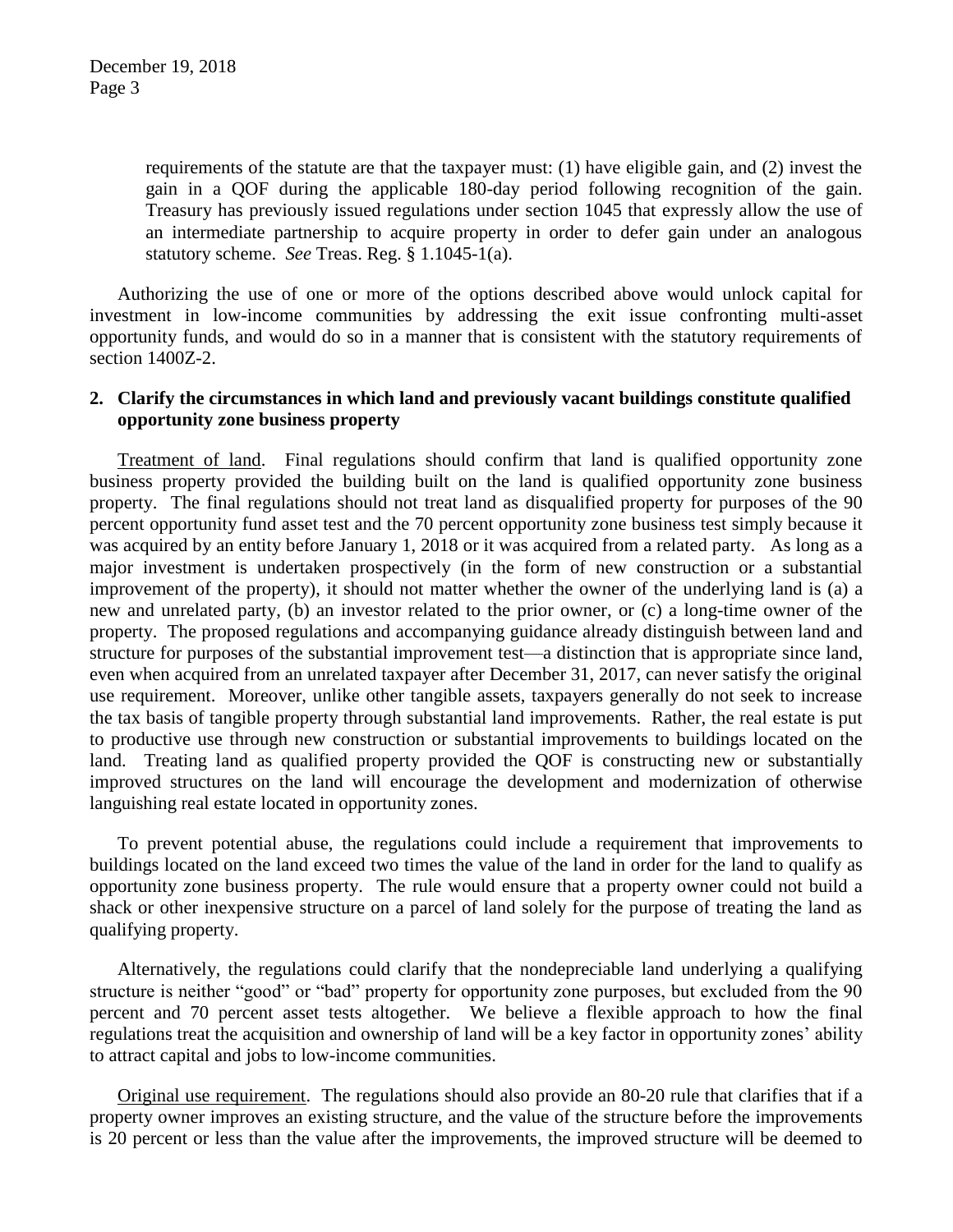requirements of the statute are that the taxpayer must: (1) have eligible gain, and (2) invest the gain in a QOF during the applicable 180-day period following recognition of the gain. Treasury has previously issued regulations under section 1045 that expressly allow the use of an intermediate partnership to acquire property in order to defer gain under an analogous statutory scheme. *See* Treas. Reg. § 1.1045-1(a).

Authorizing the use of one or more of the options described above would unlock capital for investment in low-income communities by addressing the exit issue confronting multi-asset opportunity funds, and would do so in a manner that is consistent with the statutory requirements of section 1400Z-2.

# **2. Clarify the circumstances in which land and previously vacant buildings constitute qualified opportunity zone business property**

Treatment of land. Final regulations should confirm that land is qualified opportunity zone business property provided the building built on the land is qualified opportunity zone business property. The final regulations should not treat land as disqualified property for purposes of the 90 percent opportunity fund asset test and the 70 percent opportunity zone business test simply because it was acquired by an entity before January 1, 2018 or it was acquired from a related party. As long as a major investment is undertaken prospectively (in the form of new construction or a substantial improvement of the property), it should not matter whether the owner of the underlying land is (a) a new and unrelated party, (b) an investor related to the prior owner, or (c) a long-time owner of the property. The proposed regulations and accompanying guidance already distinguish between land and structure for purposes of the substantial improvement test—a distinction that is appropriate since land, even when acquired from an unrelated taxpayer after December 31, 2017, can never satisfy the original use requirement. Moreover, unlike other tangible assets, taxpayers generally do not seek to increase the tax basis of tangible property through substantial land improvements. Rather, the real estate is put to productive use through new construction or substantial improvements to buildings located on the land. Treating land as qualified property provided the QOF is constructing new or substantially improved structures on the land will encourage the development and modernization of otherwise languishing real estate located in opportunity zones.

To prevent potential abuse, the regulations could include a requirement that improvements to buildings located on the land exceed two times the value of the land in order for the land to qualify as opportunity zone business property. The rule would ensure that a property owner could not build a shack or other inexpensive structure on a parcel of land solely for the purpose of treating the land as qualifying property.

Alternatively, the regulations could clarify that the nondepreciable land underlying a qualifying structure is neither "good" or "bad" property for opportunity zone purposes, but excluded from the 90 percent and 70 percent asset tests altogether. We believe a flexible approach to how the final regulations treat the acquisition and ownership of land will be a key factor in opportunity zones' ability to attract capital and jobs to low-income communities.

Original use requirement. The regulations should also provide an 80-20 rule that clarifies that if a property owner improves an existing structure, and the value of the structure before the improvements is 20 percent or less than the value after the improvements, the improved structure will be deemed to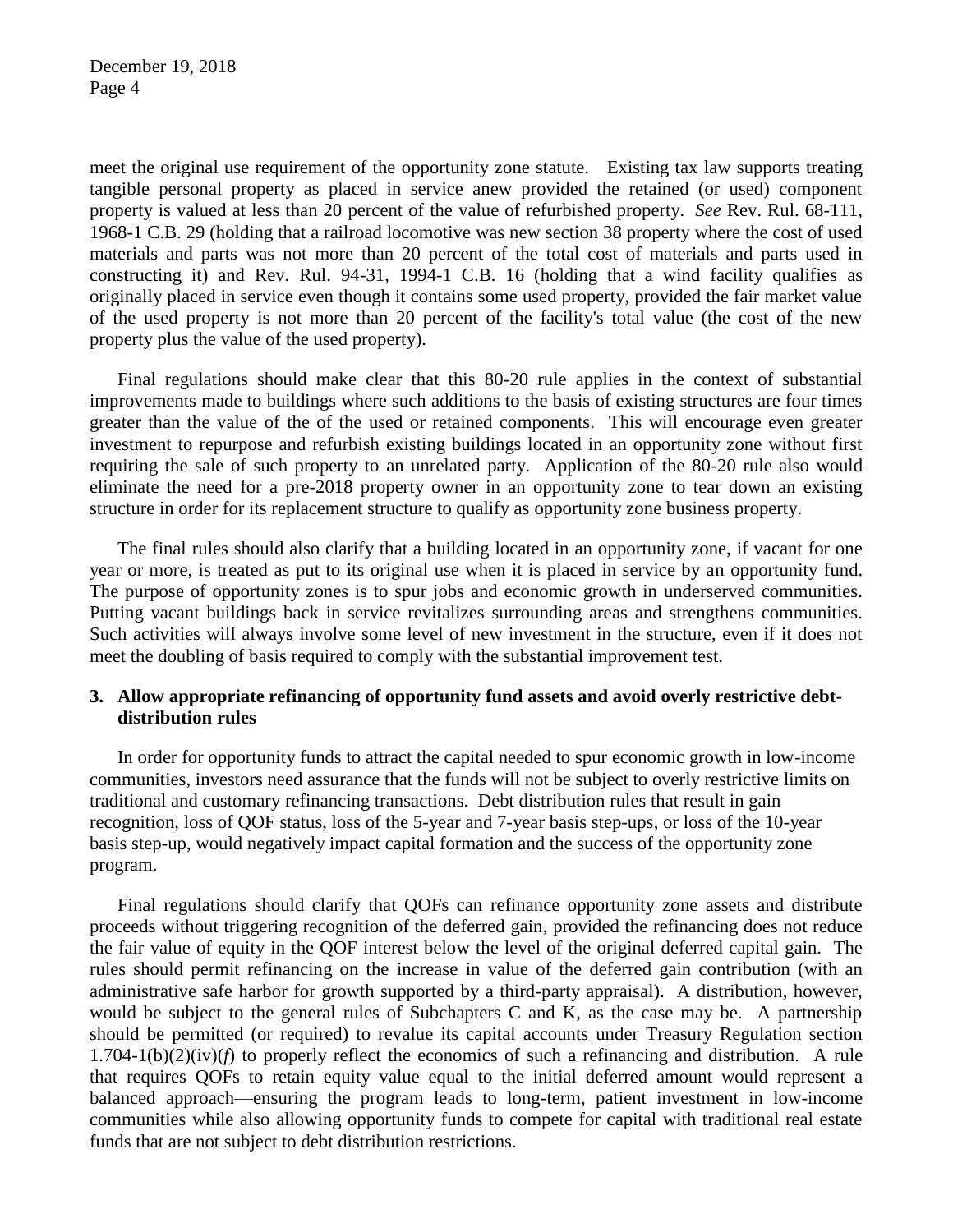meet the original use requirement of the opportunity zone statute. Existing tax law supports treating tangible personal property as placed in service anew provided the retained (or used) component property is valued at less than 20 percent of the value of refurbished property. *See* Rev. Rul. 68-111, 1968-1 C.B. 29 (holding that a railroad locomotive was new section 38 property where the cost of used materials and parts was not more than 20 percent of the total cost of materials and parts used in constructing it) and Rev. Rul. 94-31, 1994-1 C.B. 16 (holding that a wind facility qualifies as originally placed in service even though it contains some used property, provided the fair market value of the used property is not more than 20 percent of the facility's total value (the cost of the new property plus the value of the used property).

Final regulations should make clear that this 80-20 rule applies in the context of substantial improvements made to buildings where such additions to the basis of existing structures are four times greater than the value of the of the used or retained components. This will encourage even greater investment to repurpose and refurbish existing buildings located in an opportunity zone without first requiring the sale of such property to an unrelated party. Application of the 80-20 rule also would eliminate the need for a pre-2018 property owner in an opportunity zone to tear down an existing structure in order for its replacement structure to qualify as opportunity zone business property.

The final rules should also clarify that a building located in an opportunity zone, if vacant for one year or more, is treated as put to its original use when it is placed in service by an opportunity fund. The purpose of opportunity zones is to spur jobs and economic growth in underserved communities. Putting vacant buildings back in service revitalizes surrounding areas and strengthens communities. Such activities will always involve some level of new investment in the structure, even if it does not meet the doubling of basis required to comply with the substantial improvement test.

# **3. Allow appropriate refinancing of opportunity fund assets and avoid overly restrictive debtdistribution rules**

In order for opportunity funds to attract the capital needed to spur economic growth in low-income communities, investors need assurance that the funds will not be subject to overly restrictive limits on traditional and customary refinancing transactions. Debt distribution rules that result in gain recognition, loss of QOF status, loss of the 5-year and 7-year basis step-ups, or loss of the 10-year basis step-up, would negatively impact capital formation and the success of the opportunity zone program.

Final regulations should clarify that QOFs can refinance opportunity zone assets and distribute proceeds without triggering recognition of the deferred gain, provided the refinancing does not reduce the fair value of equity in the QOF interest below the level of the original deferred capital gain. The rules should permit refinancing on the increase in value of the deferred gain contribution (with an administrative safe harbor for growth supported by a third-party appraisal). A distribution, however, would be subject to the general rules of Subchapters C and K, as the case may be. A partnership should be permitted (or required) to revalue its capital accounts under Treasury Regulation section  $1.704-1(b)(2)(iv)$  to properly reflect the economics of such a refinancing and distribution. A rule that requires QOFs to retain equity value equal to the initial deferred amount would represent a balanced approach—ensuring the program leads to long-term, patient investment in low-income communities while also allowing opportunity funds to compete for capital with traditional real estate funds that are not subject to debt distribution restrictions.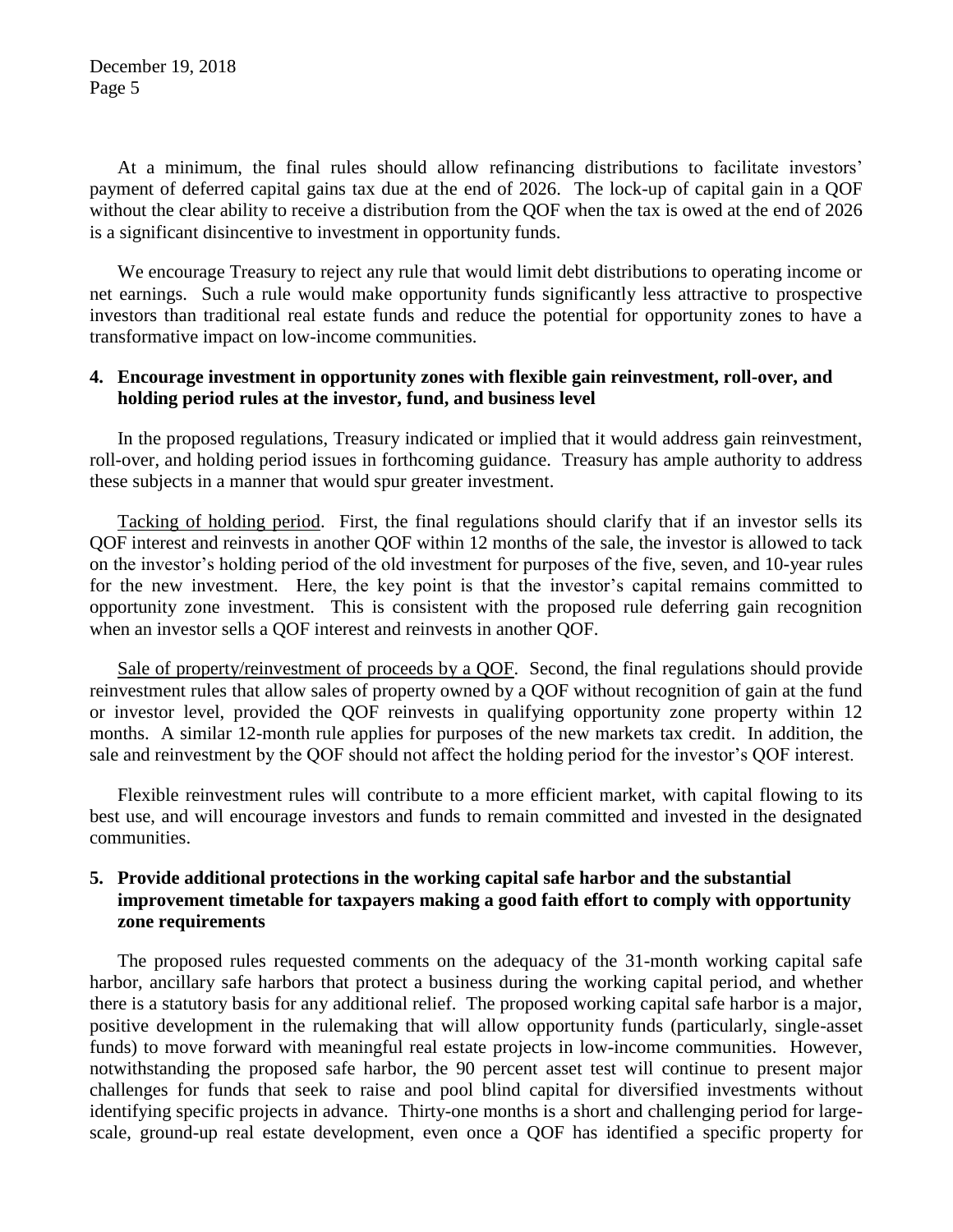December 19, 2018 Page 5

At a minimum, the final rules should allow refinancing distributions to facilitate investors' payment of deferred capital gains tax due at the end of 2026. The lock-up of capital gain in a QOF without the clear ability to receive a distribution from the QOF when the tax is owed at the end of 2026 is a significant disincentive to investment in opportunity funds.

We encourage Treasury to reject any rule that would limit debt distributions to operating income or net earnings. Such a rule would make opportunity funds significantly less attractive to prospective investors than traditional real estate funds and reduce the potential for opportunity zones to have a transformative impact on low-income communities.

### **4. Encourage investment in opportunity zones with flexible gain reinvestment, roll-over, and holding period rules at the investor, fund, and business level**

In the proposed regulations, Treasury indicated or implied that it would address gain reinvestment, roll-over, and holding period issues in forthcoming guidance. Treasury has ample authority to address these subjects in a manner that would spur greater investment.

Tacking of holding period. First, the final regulations should clarify that if an investor sells its QOF interest and reinvests in another QOF within 12 months of the sale, the investor is allowed to tack on the investor's holding period of the old investment for purposes of the five, seven, and 10-year rules for the new investment. Here, the key point is that the investor's capital remains committed to opportunity zone investment. This is consistent with the proposed rule deferring gain recognition when an investor sells a QOF interest and reinvests in another QOF.

Sale of property/reinvestment of proceeds by a QOF. Second, the final regulations should provide reinvestment rules that allow sales of property owned by a QOF without recognition of gain at the fund or investor level, provided the QOF reinvests in qualifying opportunity zone property within 12 months. A similar 12-month rule applies for purposes of the new markets tax credit. In addition, the sale and reinvestment by the QOF should not affect the holding period for the investor's QOF interest.

Flexible reinvestment rules will contribute to a more efficient market, with capital flowing to its best use, and will encourage investors and funds to remain committed and invested in the designated communities.

# **5. Provide additional protections in the working capital safe harbor and the substantial improvement timetable for taxpayers making a good faith effort to comply with opportunity zone requirements**

The proposed rules requested comments on the adequacy of the 31-month working capital safe harbor, ancillary safe harbors that protect a business during the working capital period, and whether there is a statutory basis for any additional relief. The proposed working capital safe harbor is a major, positive development in the rulemaking that will allow opportunity funds (particularly, single-asset funds) to move forward with meaningful real estate projects in low-income communities. However, notwithstanding the proposed safe harbor, the 90 percent asset test will continue to present major challenges for funds that seek to raise and pool blind capital for diversified investments without identifying specific projects in advance. Thirty-one months is a short and challenging period for largescale, ground-up real estate development, even once a QOF has identified a specific property for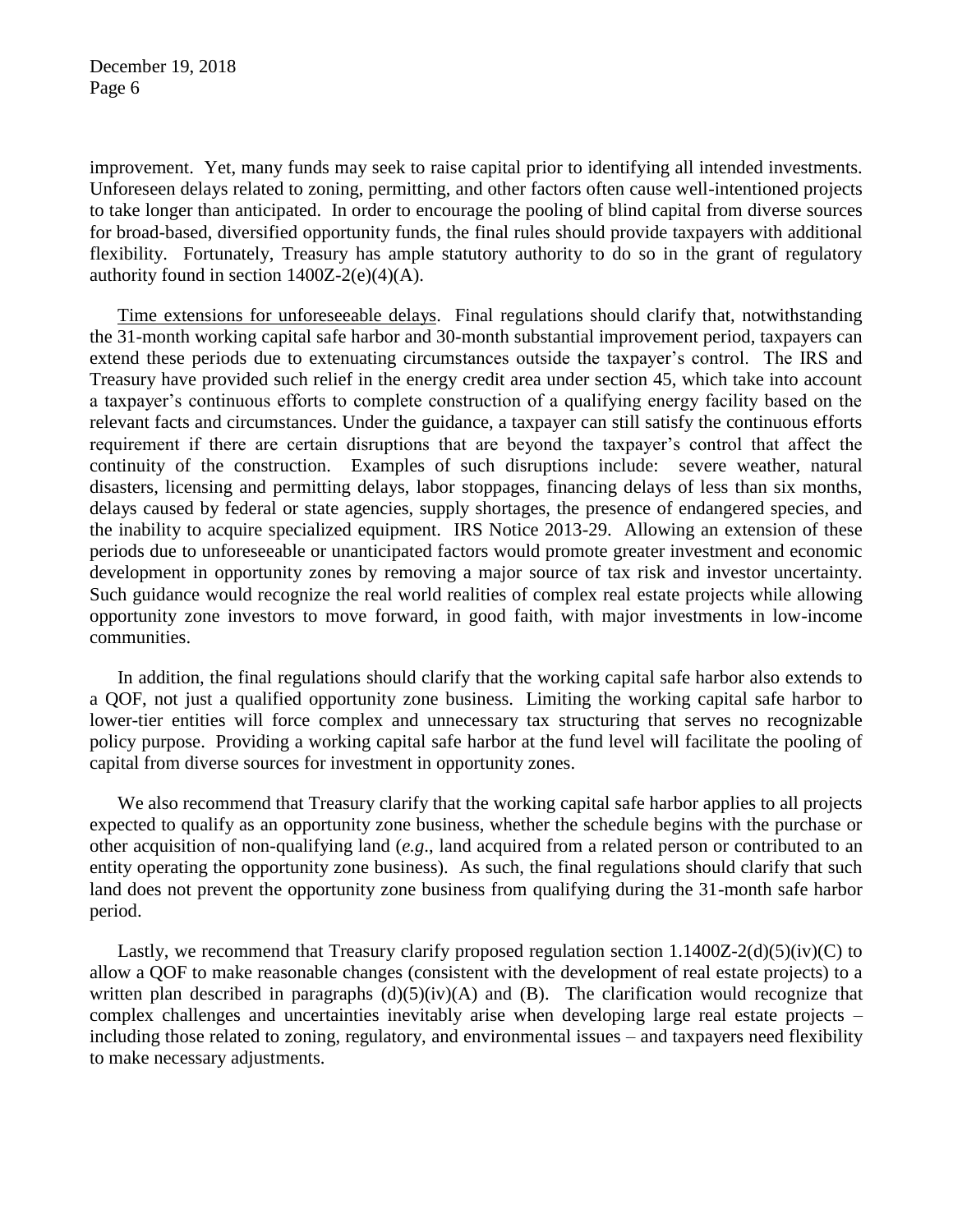improvement. Yet, many funds may seek to raise capital prior to identifying all intended investments. Unforeseen delays related to zoning, permitting, and other factors often cause well-intentioned projects to take longer than anticipated. In order to encourage the pooling of blind capital from diverse sources for broad-based, diversified opportunity funds, the final rules should provide taxpayers with additional flexibility. Fortunately, Treasury has ample statutory authority to do so in the grant of regulatory authority found in section  $1400Z-2(e)(4)(A)$ .

Time extensions for unforeseeable delays. Final regulations should clarify that, notwithstanding the 31-month working capital safe harbor and 30-month substantial improvement period, taxpayers can extend these periods due to extenuating circumstances outside the taxpayer's control. The IRS and Treasury have provided such relief in the energy credit area under section 45, which take into account a taxpayer's continuous efforts to complete construction of a qualifying energy facility based on the relevant facts and circumstances. Under the guidance, a taxpayer can still satisfy the continuous efforts requirement if there are certain disruptions that are beyond the taxpayer's control that affect the continuity of the construction. Examples of such disruptions include: severe weather, natural disasters, licensing and permitting delays, labor stoppages, financing delays of less than six months, delays caused by federal or state agencies, supply shortages, the presence of endangered species, and the inability to acquire specialized equipment. IRS Notice 2013-29. Allowing an extension of these periods due to unforeseeable or unanticipated factors would promote greater investment and economic development in opportunity zones by removing a major source of tax risk and investor uncertainty. Such guidance would recognize the real world realities of complex real estate projects while allowing opportunity zone investors to move forward, in good faith, with major investments in low-income communities.

In addition, the final regulations should clarify that the working capital safe harbor also extends to a QOF, not just a qualified opportunity zone business. Limiting the working capital safe harbor to lower-tier entities will force complex and unnecessary tax structuring that serves no recognizable policy purpose. Providing a working capital safe harbor at the fund level will facilitate the pooling of capital from diverse sources for investment in opportunity zones.

We also recommend that Treasury clarify that the working capital safe harbor applies to all projects expected to qualify as an opportunity zone business, whether the schedule begins with the purchase or other acquisition of non-qualifying land (*e.g*., land acquired from a related person or contributed to an entity operating the opportunity zone business). As such, the final regulations should clarify that such land does not prevent the opportunity zone business from qualifying during the 31-month safe harbor period.

Lastly, we recommend that Treasury clarify proposed regulation section  $1.1400Z-2(d)(5)(iv)(C)$  to allow a QOF to make reasonable changes (consistent with the development of real estate projects) to a written plan described in paragraphs  $(d)(5)(iv)(A)$  and  $(B)$ . The clarification would recognize that complex challenges and uncertainties inevitably arise when developing large real estate projects – including those related to zoning, regulatory, and environmental issues – and taxpayers need flexibility to make necessary adjustments.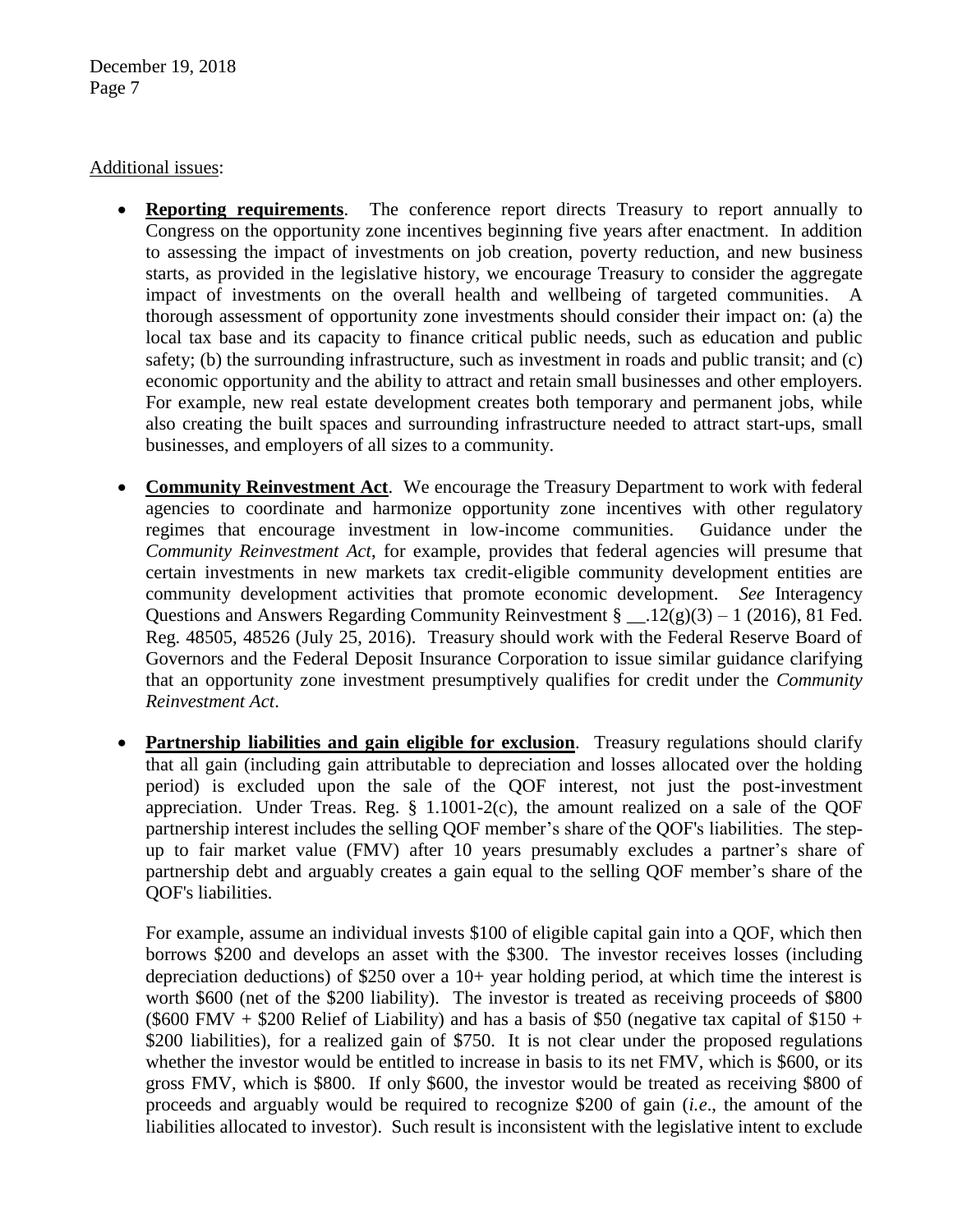December 19, 2018 Page 7

#### Additional issues:

- **Reporting requirements**. The conference report directs Treasury to report annually to Congress on the opportunity zone incentives beginning five years after enactment. In addition to assessing the impact of investments on job creation, poverty reduction, and new business starts, as provided in the legislative history, we encourage Treasury to consider the aggregate impact of investments on the overall health and wellbeing of targeted communities. A thorough assessment of opportunity zone investments should consider their impact on: (a) the local tax base and its capacity to finance critical public needs, such as education and public safety; (b) the surrounding infrastructure, such as investment in roads and public transit; and (c) economic opportunity and the ability to attract and retain small businesses and other employers. For example, new real estate development creates both temporary and permanent jobs, while also creating the built spaces and surrounding infrastructure needed to attract start-ups, small businesses, and employers of all sizes to a community.
- **Community Reinvestment Act**. We encourage the Treasury Department to work with federal agencies to coordinate and harmonize opportunity zone incentives with other regulatory regimes that encourage investment in low-income communities. Guidance under the *Community Reinvestment Act*, for example, provides that federal agencies will presume that certain investments in new markets tax credit-eligible community development entities are community development activities that promote economic development. *See* Interagency Questions and Answers Regarding Community Reinvestment  $\S$  \_\_.12(g)(3) – 1 (2016), 81 Fed. Reg. 48505, 48526 (July 25, 2016). Treasury should work with the Federal Reserve Board of Governors and the Federal Deposit Insurance Corporation to issue similar guidance clarifying that an opportunity zone investment presumptively qualifies for credit under the *Community Reinvestment Act*.
- **Partnership liabilities and gain eligible for exclusion**. Treasury regulations should clarify that all gain (including gain attributable to depreciation and losses allocated over the holding period) is excluded upon the sale of the QOF interest, not just the post-investment appreciation. Under Treas. Reg.  $\S$  1.1001-2(c), the amount realized on a sale of the QOF partnership interest includes the selling QOF member's share of the QOF's liabilities. The stepup to fair market value (FMV) after 10 years presumably excludes a partner's share of partnership debt and arguably creates a gain equal to the selling QOF member's share of the QOF's liabilities.

For example, assume an individual invests \$100 of eligible capital gain into a QOF, which then borrows \$200 and develops an asset with the \$300. The investor receives losses (including depreciation deductions) of \$250 over a  $10<sub>+</sub>$  year holding period, at which time the interest is worth \$600 (net of the \$200 liability). The investor is treated as receiving proceeds of \$800 (\$600 FMV + \$200 Relief of Liability) and has a basis of \$50 (negative tax capital of \$150 + \$200 liabilities), for a realized gain of \$750. It is not clear under the proposed regulations whether the investor would be entitled to increase in basis to its net FMV, which is \$600, or its gross FMV, which is \$800. If only \$600, the investor would be treated as receiving \$800 of proceeds and arguably would be required to recognize \$200 of gain (*i.e*., the amount of the liabilities allocated to investor). Such result is inconsistent with the legislative intent to exclude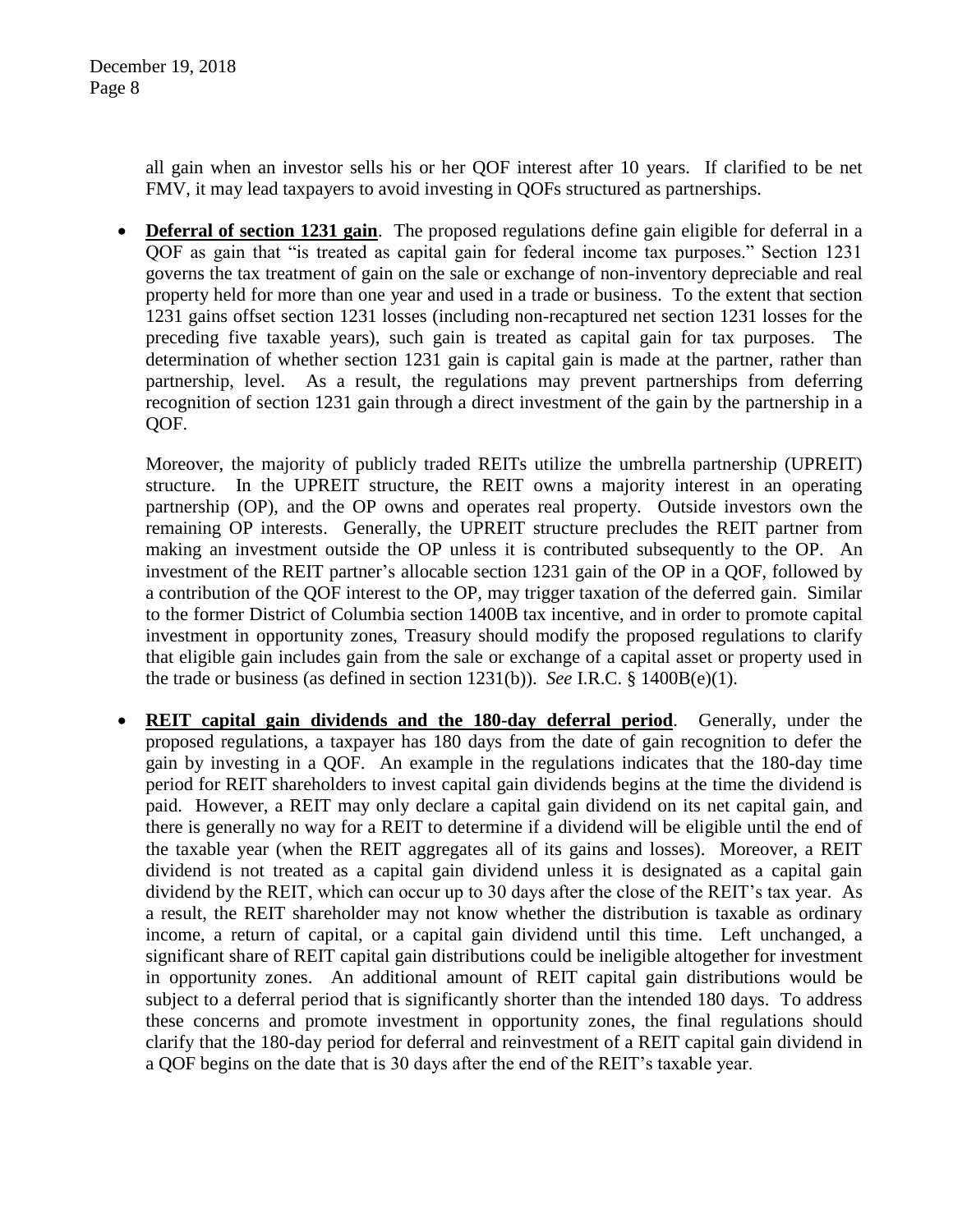all gain when an investor sells his or her QOF interest after 10 years. If clarified to be net FMV, it may lead taxpayers to avoid investing in QOFs structured as partnerships.

 **Deferral of section 1231 gain**. The proposed regulations define gain eligible for deferral in a QOF as gain that "is treated as capital gain for federal income tax purposes." Section 1231 governs the tax treatment of gain on the sale or exchange of non-inventory depreciable and real property held for more than one year and used in a trade or business. To the extent that section 1231 gains offset section 1231 losses (including non-recaptured net section 1231 losses for the preceding five taxable years), such gain is treated as capital gain for tax purposes. The determination of whether section 1231 gain is capital gain is made at the partner, rather than partnership, level. As a result, the regulations may prevent partnerships from deferring recognition of section 1231 gain through a direct investment of the gain by the partnership in a QOF.

Moreover, the majority of publicly traded REITs utilize the umbrella partnership (UPREIT) structure. In the UPREIT structure, the REIT owns a majority interest in an operating partnership (OP), and the OP owns and operates real property. Outside investors own the remaining OP interests. Generally, the UPREIT structure precludes the REIT partner from making an investment outside the OP unless it is contributed subsequently to the OP. An investment of the REIT partner's allocable section 1231 gain of the OP in a QOF, followed by a contribution of the QOF interest to the OP, may trigger taxation of the deferred gain. Similar to the former District of Columbia section 1400B tax incentive, and in order to promote capital investment in opportunity zones, Treasury should modify the proposed regulations to clarify that eligible gain includes gain from the sale or exchange of a capital asset or property used in the trade or business (as defined in section 1231(b)). *See* I.R.C. § 1400B(e)(1).

 **REIT capital gain dividends and the 180-day deferral period**. Generally, under the proposed regulations, a taxpayer has 180 days from the date of gain recognition to defer the gain by investing in a QOF. An example in the regulations indicates that the 180-day time period for REIT shareholders to invest capital gain dividends begins at the time the dividend is paid. However, a REIT may only declare a capital gain dividend on its net capital gain, and there is generally no way for a REIT to determine if a dividend will be eligible until the end of the taxable year (when the REIT aggregates all of its gains and losses). Moreover, a REIT dividend is not treated as a capital gain dividend unless it is designated as a capital gain dividend by the REIT, which can occur up to 30 days after the close of the REIT's tax year. As a result, the REIT shareholder may not know whether the distribution is taxable as ordinary income, a return of capital, or a capital gain dividend until this time. Left unchanged, a significant share of REIT capital gain distributions could be ineligible altogether for investment in opportunity zones. An additional amount of REIT capital gain distributions would be subject to a deferral period that is significantly shorter than the intended 180 days. To address these concerns and promote investment in opportunity zones, the final regulations should clarify that the 180-day period for deferral and reinvestment of a REIT capital gain dividend in a QOF begins on the date that is 30 days after the end of the REIT's taxable year.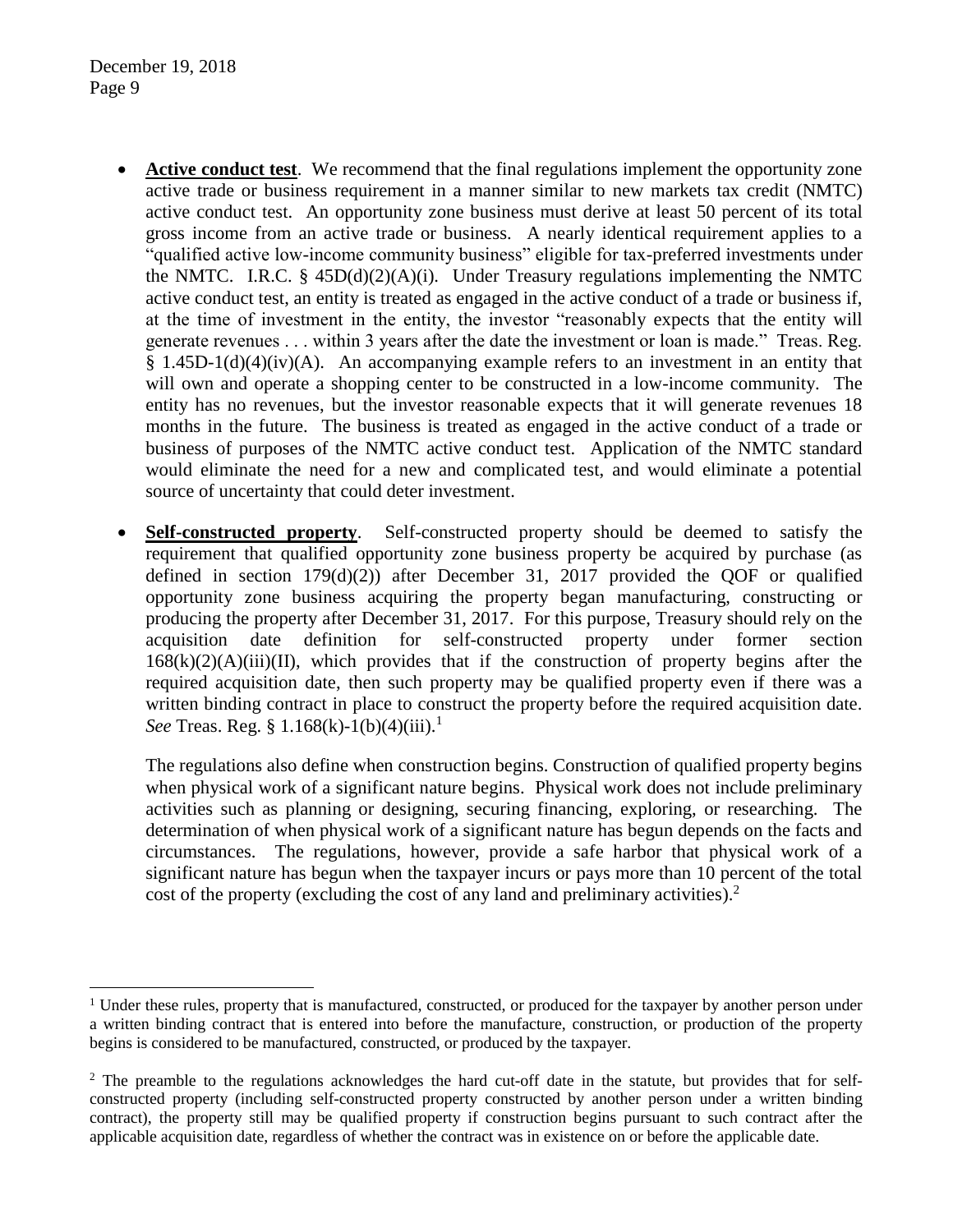$\overline{a}$ 

- **Active conduct test**. We recommend that the final regulations implement the opportunity zone active trade or business requirement in a manner similar to new markets tax credit (NMTC) active conduct test. An opportunity zone business must derive at least 50 percent of its total gross income from an active trade or business. A nearly identical requirement applies to a "qualified active low-income community business" eligible for tax-preferred investments under the NMTC. I.R.C. §  $45D(d)(2)(A)(i)$ . Under Treasury regulations implementing the NMTC active conduct test, an entity is treated as engaged in the active conduct of a trade or business if, at the time of investment in the entity, the investor "reasonably expects that the entity will generate revenues . . . within 3 years after the date the investment or loan is made." Treas. Reg.  $§$  1.45D-1(d)(4)(iv)(A). An accompanying example refers to an investment in an entity that will own and operate a shopping center to be constructed in a low-income community. The entity has no revenues, but the investor reasonable expects that it will generate revenues 18 months in the future. The business is treated as engaged in the active conduct of a trade or business of purposes of the NMTC active conduct test. Application of the NMTC standard would eliminate the need for a new and complicated test, and would eliminate a potential source of uncertainty that could deter investment.
- **Self-constructed property**. Self-constructed property should be deemed to satisfy the requirement that qualified opportunity zone business property be acquired by purchase (as defined in section  $179(d)(2)$  after December 31, 2017 provided the QOF or qualified opportunity zone business acquiring the property began manufacturing, constructing or producing the property after December 31, 2017. For this purpose, Treasury should rely on the acquisition date definition for self-constructed property under former section  $168(k)(2)(A)(iii)(II)$ , which provides that if the construction of property begins after the required acquisition date, then such property may be qualified property even if there was a written binding contract in place to construct the property before the required acquisition date. *See* Treas. Reg. § 1.168(k)-1(b)(4)(iii).<sup>1</sup>

The regulations also define when construction begins. Construction of qualified property begins when physical work of a significant nature begins. Physical work does not include preliminary activities such as planning or designing, securing financing, exploring, or researching. The determination of when physical work of a significant nature has begun depends on the facts and circumstances. The regulations, however, provide a safe harbor that physical work of a significant nature has begun when the taxpayer incurs or pays more than 10 percent of the total cost of the property (excluding the cost of any land and preliminary activities).<sup>2</sup>

<sup>&</sup>lt;sup>1</sup> Under these rules, property that is manufactured, constructed, or produced for the taxpayer by another person under a written binding contract that is entered into before the manufacture, construction, or production of the property begins is considered to be manufactured, constructed, or produced by the taxpayer.

<sup>&</sup>lt;sup>2</sup> The preamble to the regulations acknowledges the hard cut-off date in the statute, but provides that for selfconstructed property (including self-constructed property constructed by another person under a written binding contract), the property still may be qualified property if construction begins pursuant to such contract after the applicable acquisition date, regardless of whether the contract was in existence on or before the applicable date.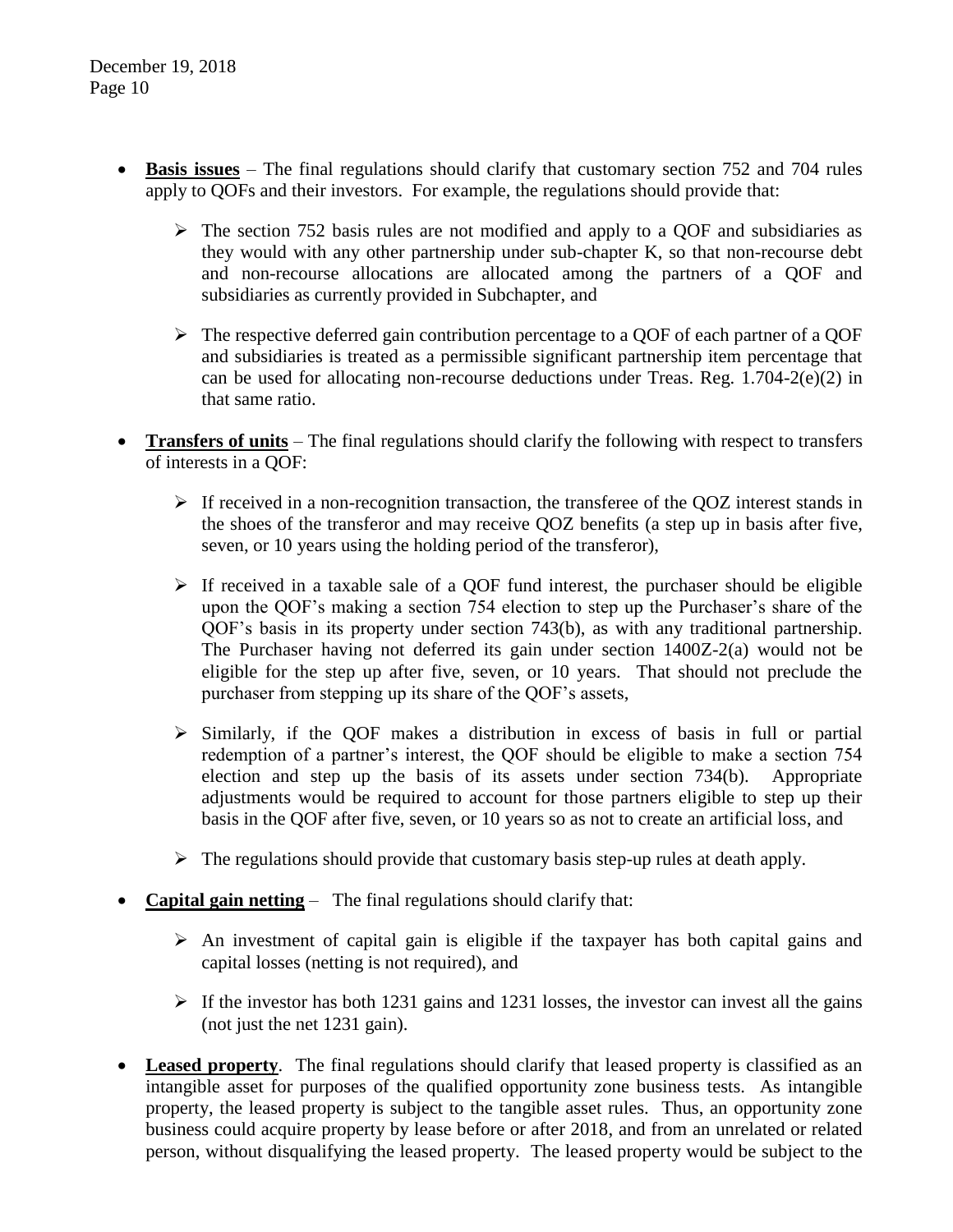- **Basis issues** The final regulations should clarify that customary section 752 and 704 rules apply to QOFs and their investors. For example, the regulations should provide that:
	- $\triangleright$  The section 752 basis rules are not modified and apply to a QOF and subsidiaries as they would with any other partnership under sub-chapter K, so that non-recourse debt and non-recourse allocations are allocated among the partners of a QOF and subsidiaries as currently provided in Subchapter, and
	- $\triangleright$  The respective deferred gain contribution percentage to a OOF of each partner of a OOF and subsidiaries is treated as a permissible significant partnership item percentage that can be used for allocating non-recourse deductions under Treas. Reg.  $1.704-2(e)(2)$  in that same ratio.
- **Transfers of units** The final regulations should clarify the following with respect to transfers of interests in a QOF:
	- $\triangleright$  If received in a non-recognition transaction, the transferee of the QOZ interest stands in the shoes of the transferor and may receive QOZ benefits (a step up in basis after five, seven, or 10 years using the holding period of the transferor),
	- $\triangleright$  If received in a taxable sale of a OOF fund interest, the purchaser should be eligible upon the QOF's making a section 754 election to step up the Purchaser's share of the QOF's basis in its property under section 743(b), as with any traditional partnership. The Purchaser having not deferred its gain under section 1400Z-2(a) would not be eligible for the step up after five, seven, or 10 years. That should not preclude the purchaser from stepping up its share of the QOF's assets,
	- $\triangleright$  Similarly, if the QOF makes a distribution in excess of basis in full or partial redemption of a partner's interest, the QOF should be eligible to make a section 754 election and step up the basis of its assets under section 734(b). Appropriate adjustments would be required to account for those partners eligible to step up their basis in the QOF after five, seven, or 10 years so as not to create an artificial loss, and
	- $\triangleright$  The regulations should provide that customary basis step-up rules at death apply.
- **Capital gain netting** The final regulations should clarify that:
	- $\triangleright$  An investment of capital gain is eligible if the taxpayer has both capital gains and capital losses (netting is not required), and
	- $\triangleright$  If the investor has both 1231 gains and 1231 losses, the investor can invest all the gains (not just the net 1231 gain).
- **Leased property**. The final regulations should clarify that leased property is classified as an intangible asset for purposes of the qualified opportunity zone business tests. As intangible property, the leased property is subject to the tangible asset rules. Thus, an opportunity zone business could acquire property by lease before or after 2018, and from an unrelated or related person, without disqualifying the leased property. The leased property would be subject to the